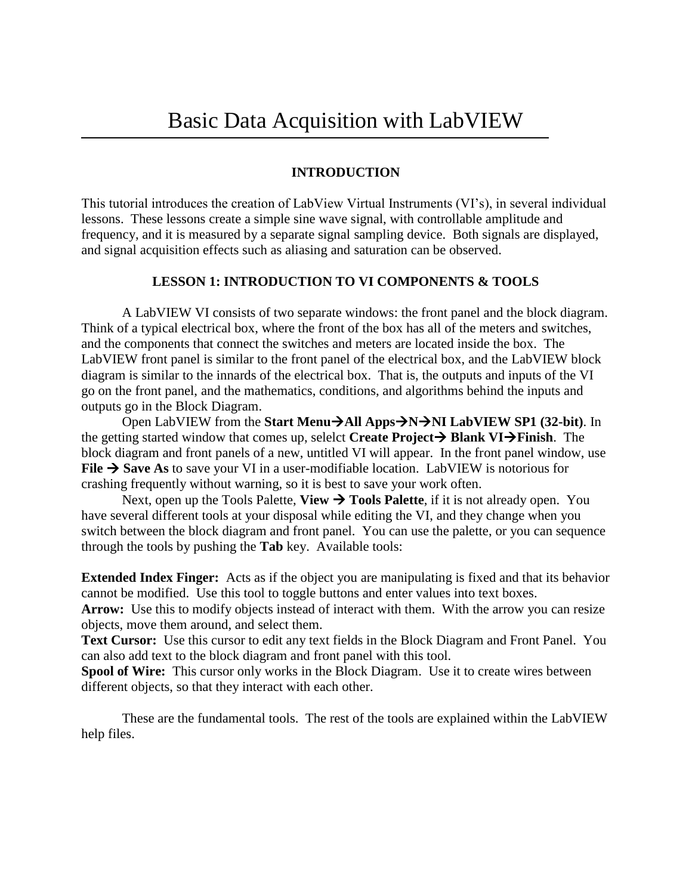## **INTRODUCTION**

This tutorial introduces the creation of LabView Virtual Instruments (VI's), in several individual lessons. These lessons create a simple sine wave signal, with controllable amplitude and frequency, and it is measured by a separate signal sampling device. Both signals are displayed, and signal acquisition effects such as aliasing and saturation can be observed.

## **LESSON 1: INTRODUCTION TO VI COMPONENTS & TOOLS**

A LabVIEW VI consists of two separate windows: the front panel and the block diagram. Think of a typical electrical box, where the front of the box has all of the meters and switches, and the components that connect the switches and meters are located inside the box. The LabVIEW front panel is similar to the front panel of the electrical box, and the LabVIEW block diagram is similar to the innards of the electrical box. That is, the outputs and inputs of the VI go on the front panel, and the mathematics, conditions, and algorithms behind the inputs and outputs go in the Block Diagram.

Open LabVIEW from the **Start MenuAll AppsNNI LabVIEW SP1 (32-bit)**. In the getting started window that comes up, selelct **Create Project**  $\rightarrow$  Blank VI $\rightarrow$ Finish. The block diagram and front panels of a new, untitled VI will appear. In the front panel window, use **File**  $\rightarrow$  **Save As** to save your VI in a user-modifiable location. LabVIEW is notorious for crashing frequently without warning, so it is best to save your work often.

Next, open up the Tools Palette, **View**  $\rightarrow$  **Tools Palette**, if it is not already open. You have several different tools at your disposal while editing the VI, and they change when you switch between the block diagram and front panel. You can use the palette, or you can sequence through the tools by pushing the **Tab** key. Available tools:

**Extended Index Finger:** Acts as if the object you are manipulating is fixed and that its behavior cannot be modified. Use this tool to toggle buttons and enter values into text boxes.

Arrow: Use this to modify objects instead of interact with them. With the arrow you can resize objects, move them around, and select them.

**Text Cursor:** Use this cursor to edit any text fields in the Block Diagram and Front Panel. You can also add text to the block diagram and front panel with this tool.

**Spool of Wire:** This cursor only works in the Block Diagram. Use it to create wires between different objects, so that they interact with each other.

These are the fundamental tools. The rest of the tools are explained within the LabVIEW help files.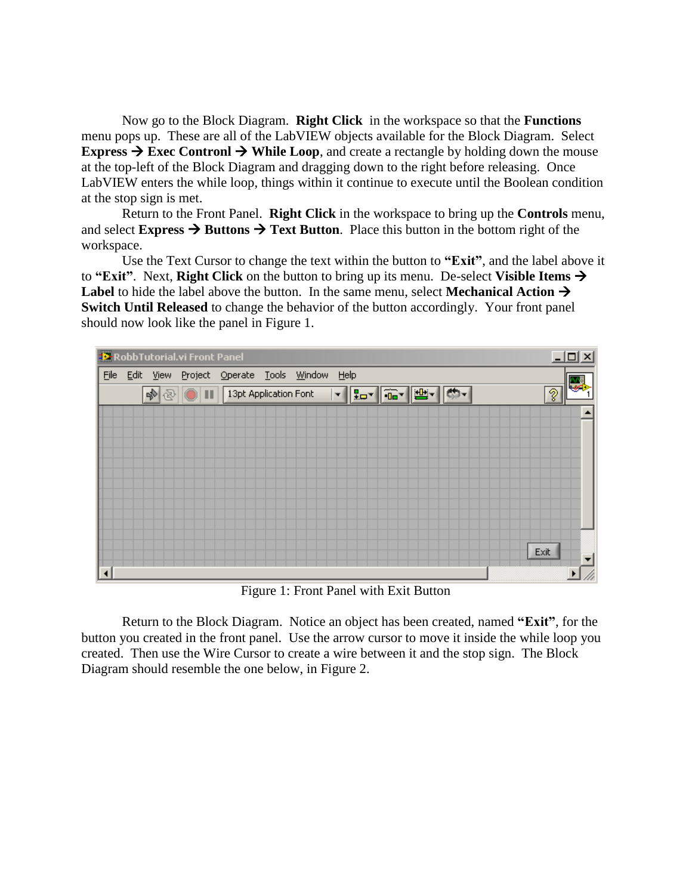Now go to the Block Diagram. **Right Click** in the workspace so that the **Functions** menu pops up. These are all of the LabVIEW objects available for the Block Diagram. Select **Express**  $\rightarrow$  **Exec Contronl**  $\rightarrow$  **While Loop**, and create a rectangle by holding down the mouse at the top-left of the Block Diagram and dragging down to the right before releasing. Once LabVIEW enters the while loop, things within it continue to execute until the Boolean condition at the stop sign is met.

Return to the Front Panel. **Right Click** in the workspace to bring up the **Controls** menu, and select **Express**  $\rightarrow$  **Buttons**  $\rightarrow$  **Text Button**. Place this button in the bottom right of the workspace.

Use the Text Cursor to change the text within the button to **"Exit"**, and the label above it to **"Exit"**. Next, **Right Click** on the button to bring up its menu. De-select **Visible Items**  Label to hide the label above the button. In the same menu, select **Mechanical Action**  $\rightarrow$ **Switch Until Released** to change the behavior of the button accordingly. Your front panel should now look like the panel in Figure 1.



Figure 1: Front Panel with Exit Button

Return to the Block Diagram. Notice an object has been created, named **"Exit"**, for the button you created in the front panel. Use the arrow cursor to move it inside the while loop you created. Then use the Wire Cursor to create a wire between it and the stop sign. The Block Diagram should resemble the one below, in Figure 2.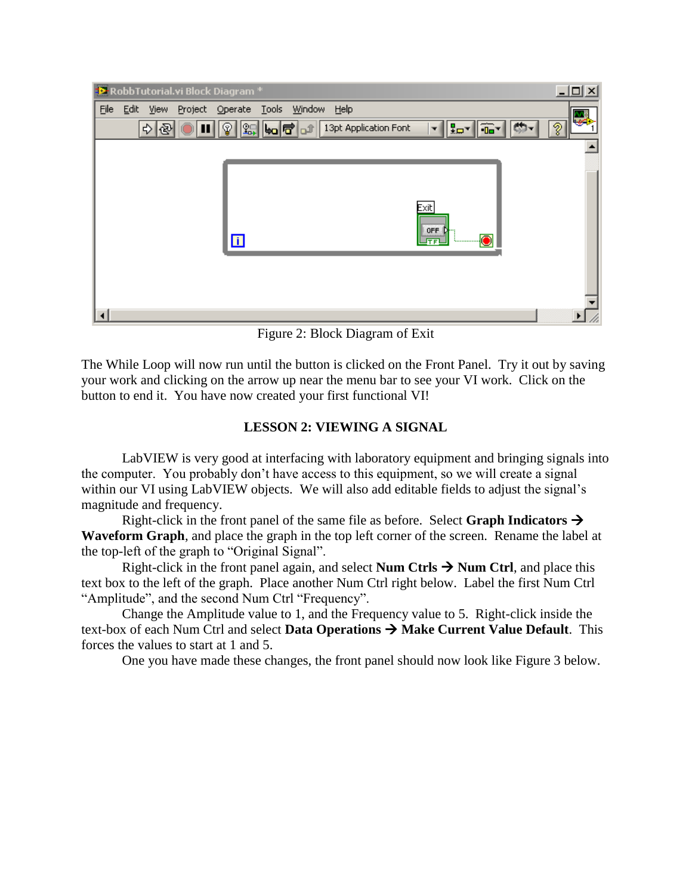

Figure 2: Block Diagram of Exit

The While Loop will now run until the button is clicked on the Front Panel. Try it out by saving your work and clicking on the arrow up near the menu bar to see your VI work. Click on the button to end it. You have now created your first functional VI!

## **LESSON 2: VIEWING A SIGNAL**

LabVIEW is very good at interfacing with laboratory equipment and bringing signals into the computer. You probably don't have access to this equipment, so we will create a signal within our VI using LabVIEW objects. We will also add editable fields to adjust the signal's magnitude and frequency.

Right-click in the front panel of the same file as before. Select **Graph Indicators**  $\rightarrow$ **Waveform Graph**, and place the graph in the top left corner of the screen. Rename the label at the top-left of the graph to "Original Signal".

Right-click in the front panel again, and select **Num Ctrls**  $\rightarrow$  **Num Ctrl**, and place this text box to the left of the graph. Place another Num Ctrl right below. Label the first Num Ctrl "Amplitude", and the second Num Ctrl "Frequency".

Change the Amplitude value to 1, and the Frequency value to 5. Right-click inside the text-box of each Num Ctrl and select **Data Operations**  $\rightarrow$  **Make Current Value Default**. This forces the values to start at 1 and 5.

One you have made these changes, the front panel should now look like Figure 3 below.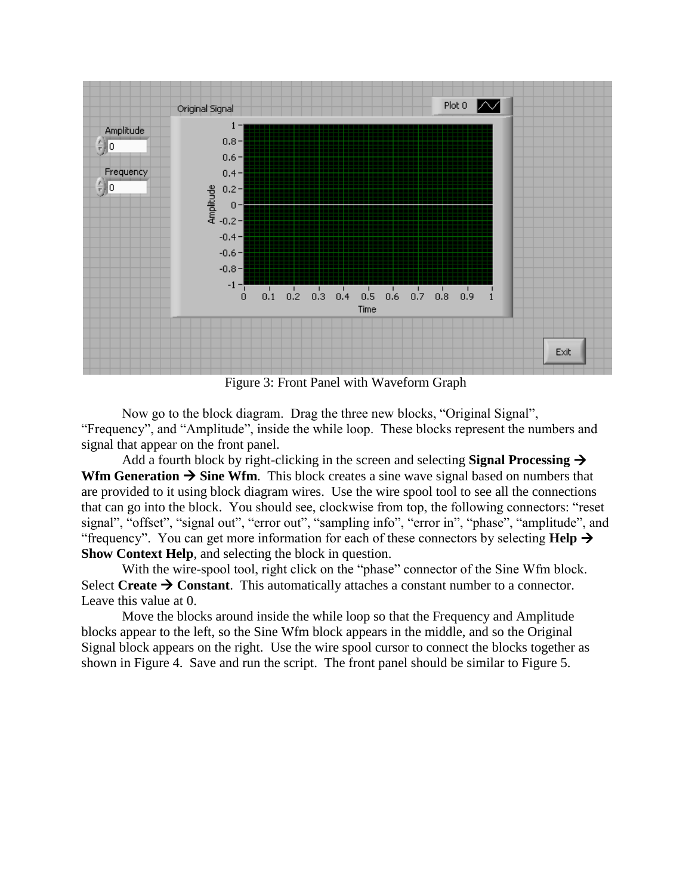

Figure 3: Front Panel with Waveform Graph

Now go to the block diagram. Drag the three new blocks, "Original Signal", "Frequency", and "Amplitude", inside the while loop. These blocks represent the numbers and signal that appear on the front panel.

Add a fourth block by right-clicking in the screen and selecting **Signal Processing Wfm Generation**  $\rightarrow$  **Sine Wfm.** This block creates a sine wave signal based on numbers that are provided to it using block diagram wires. Use the wire spool tool to see all the connections that can go into the block. You should see, clockwise from top, the following connectors: "reset signal", "offset", "signal out", "error out", "sampling info", "error in", "phase", "amplitude", and "frequency". You can get more information for each of these connectors by selecting  $\text{Help} \rightarrow$ **Show Context Help**, and selecting the block in question.

With the wire-spool tool, right click on the "phase" connector of the Sine Wfm block. Select Create  $\rightarrow$  Constant. This automatically attaches a constant number to a connector. Leave this value at 0.

Move the blocks around inside the while loop so that the Frequency and Amplitude blocks appear to the left, so the Sine Wfm block appears in the middle, and so the Original Signal block appears on the right. Use the wire spool cursor to connect the blocks together as shown in Figure 4. Save and run the script. The front panel should be similar to Figure 5.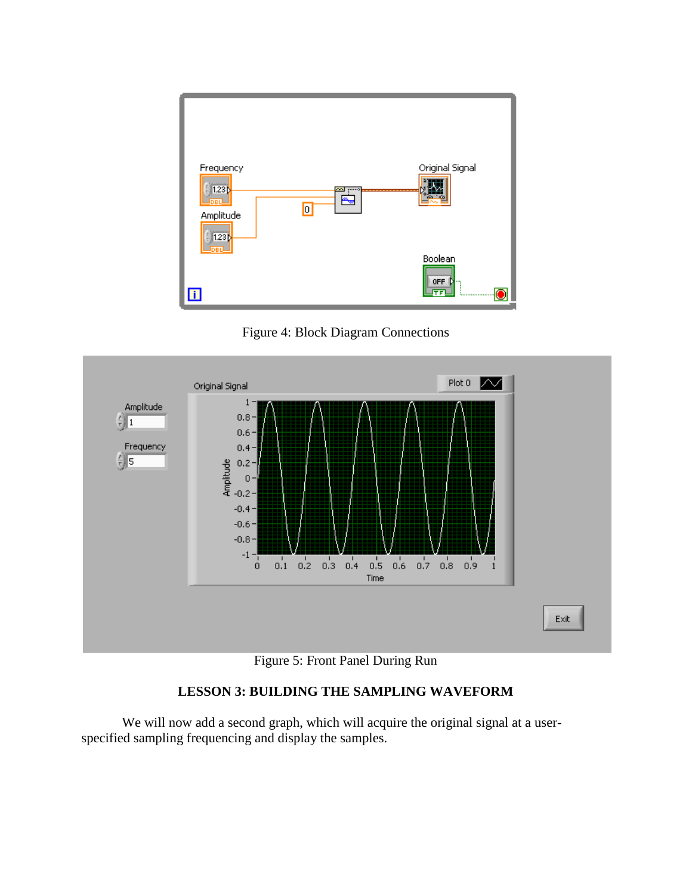

Figure 4: Block Diagram Connections



Figure 5: Front Panel During Run

## **LESSON 3: BUILDING THE SAMPLING WAVEFORM**

We will now add a second graph, which will acquire the original signal at a userspecified sampling frequencing and display the samples.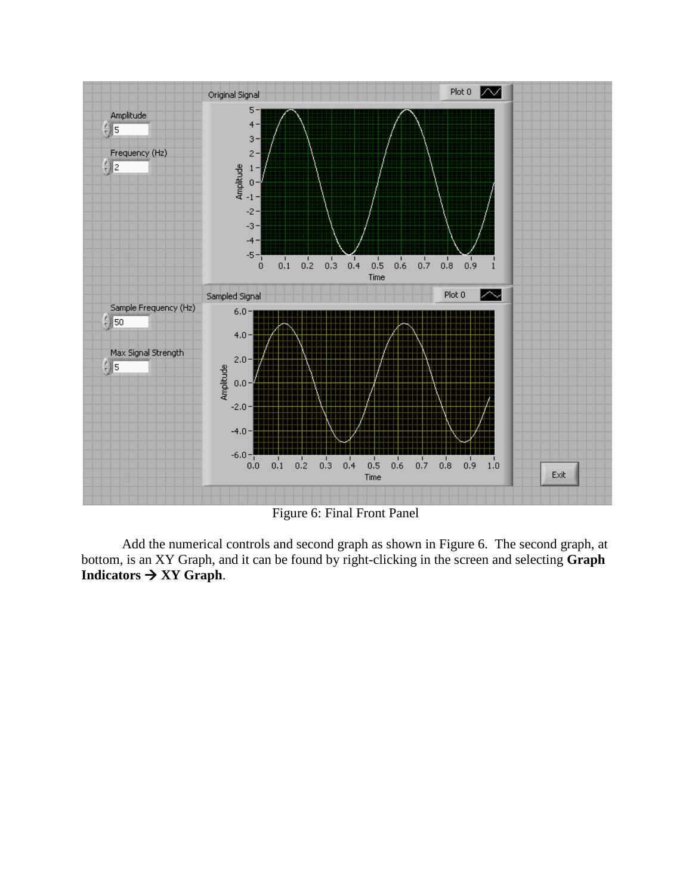

Figure 6: Final Front Panel

Add the numerical controls and second graph as shown in Figure 6. The second graph, at bottom, is an XY Graph, and it can be found by right-clicking in the screen and selecting **Graph**  Indicators  $\rightarrow XY$  Graph.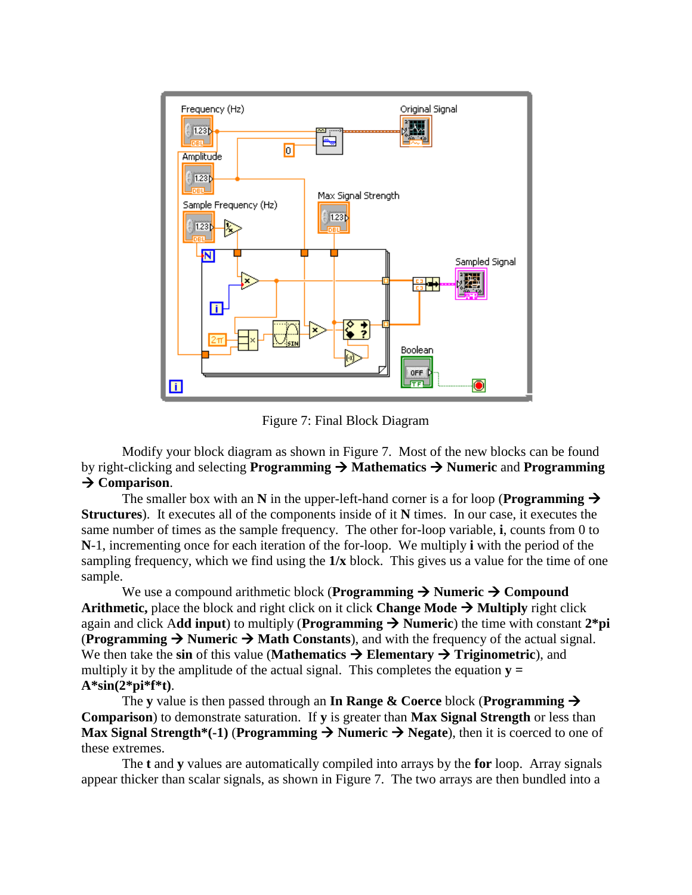

Figure 7: Final Block Diagram

Modify your block diagram as shown in Figure 7. Most of the new blocks can be found by right-clicking and selecting **Programming**  $\rightarrow$  **Mathematics**  $\rightarrow$  **Numeric and Programming → Comparison.** 

The smaller box with an  $\bf{N}$  in the upper-left-hand corner is a for loop (**Programming**  $\rightarrow$ **Structures**). It executes all of the components inside of it **N** times. In our case, it executes the same number of times as the sample frequency. The other for-loop variable, **i**, counts from 0 to **N**-1, incrementing once for each iteration of the for-loop. We multiply **i** with the period of the sampling frequency, which we find using the **1/x** block. This gives us a value for the time of one sample.

We use a compound arithmetic block (**Programming**  $\rightarrow$  **Numeric**  $\rightarrow$  Compound **Arithmetic,** place the block and right click on it click **Change Mode**  $\rightarrow$  **Multiply** right click again and click Add input) to multiply (**Programming**  $\rightarrow$  **Numeric**) the time with constant  $2*pi$ **(Programming**  $\rightarrow$  **Numeric**  $\rightarrow$  **Math Constants), and with the frequency of the actual signal.** We then take the sin of this value (**Mathematics**  $\rightarrow$  **Elementary**  $\rightarrow$  **Triginometric**), and multiply it by the amplitude of the actual signal. This completes the equation  $\mathbf{v} =$ **A\*sin(2\*pi\*f\*t)**.

The **y** value is then passed through an **In Range & Coerce** block (**Programming Comparison**) to demonstrate saturation. If **y** is greater than **Max Signal Strength** or less than **Max Signal Strength\*(-1) (Programming**  $\rightarrow$  **Numeric**  $\rightarrow$  **Negate), then it is coerced to one of** these extremes.

The **t** and **y** values are automatically compiled into arrays by the **for** loop. Array signals appear thicker than scalar signals, as shown in Figure 7. The two arrays are then bundled into a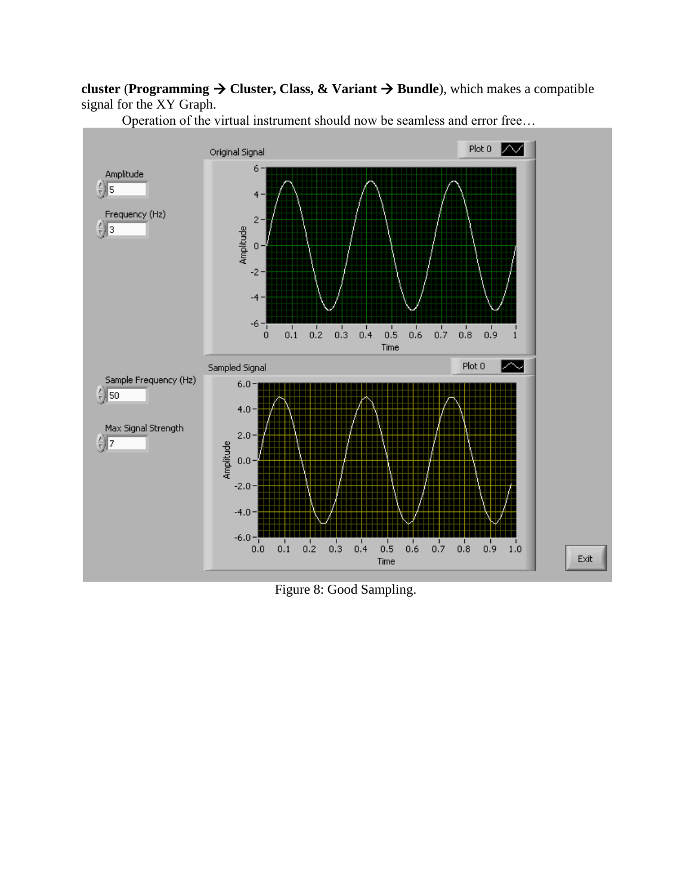**cluster** (**Programming**  $\rightarrow$  **Cluster, Class, & Variant**  $\rightarrow$  **Bundle**), which makes a compatible signal for the XY Graph.



Operation of the virtual instrument should now be seamless and error free…

Figure 8: Good Sampling.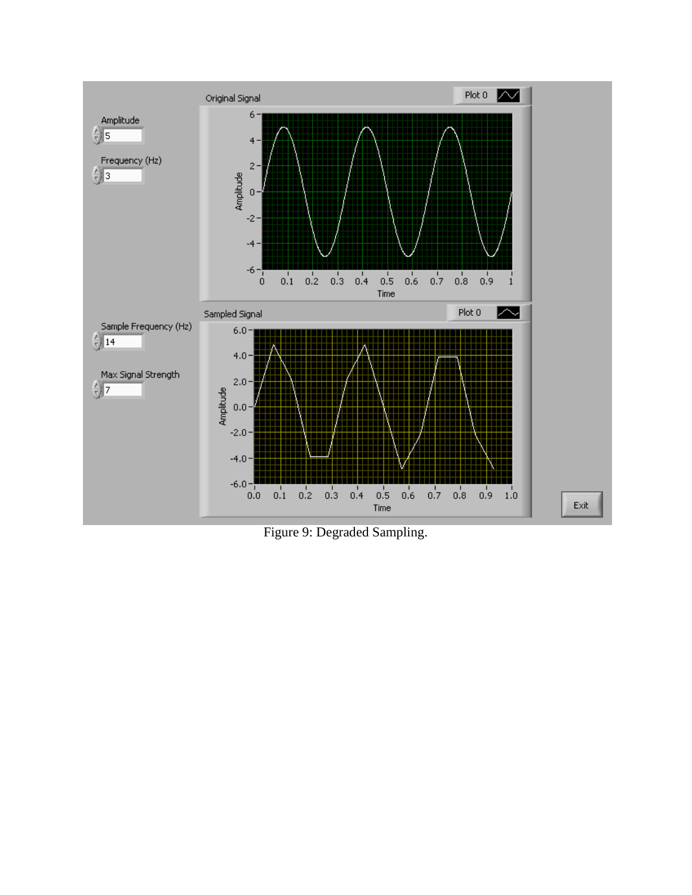

Figure 9: Degraded Sampling.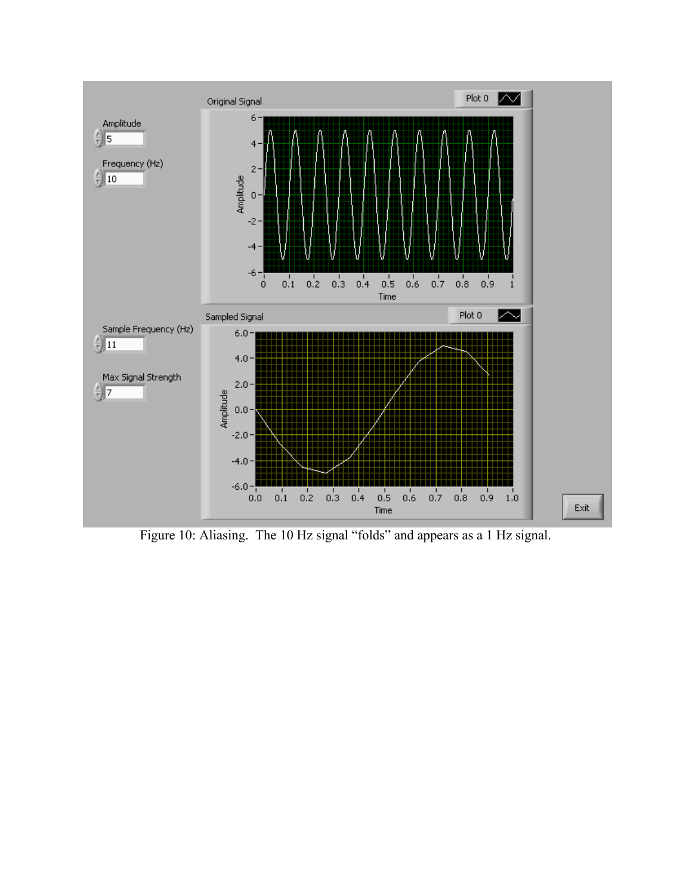

Figure 10: Aliasing. The 10 Hz signal "folds" and appears as a 1 Hz signal.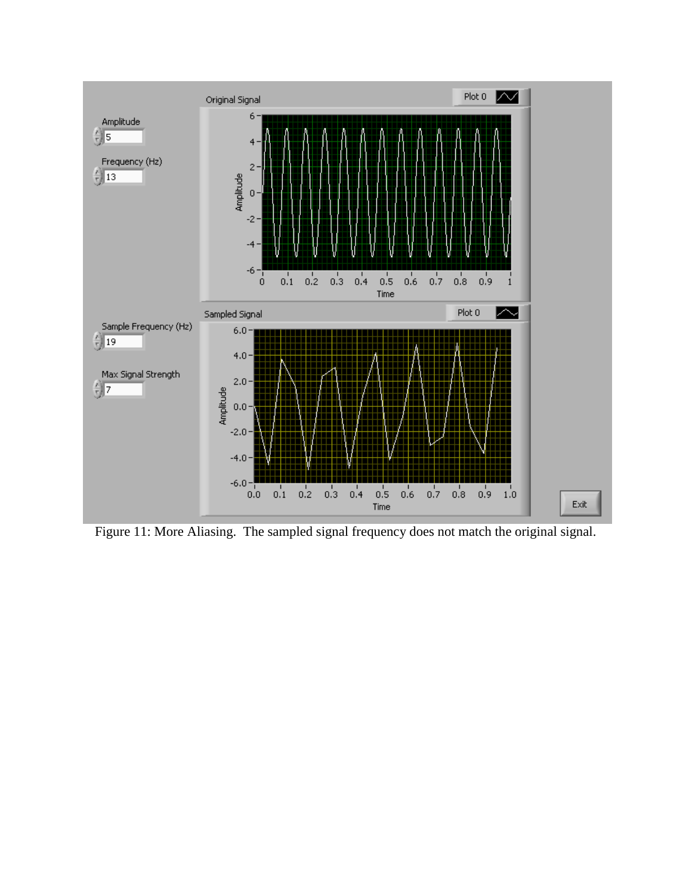

Figure 11: More Aliasing. The sampled signal frequency does not match the original signal.